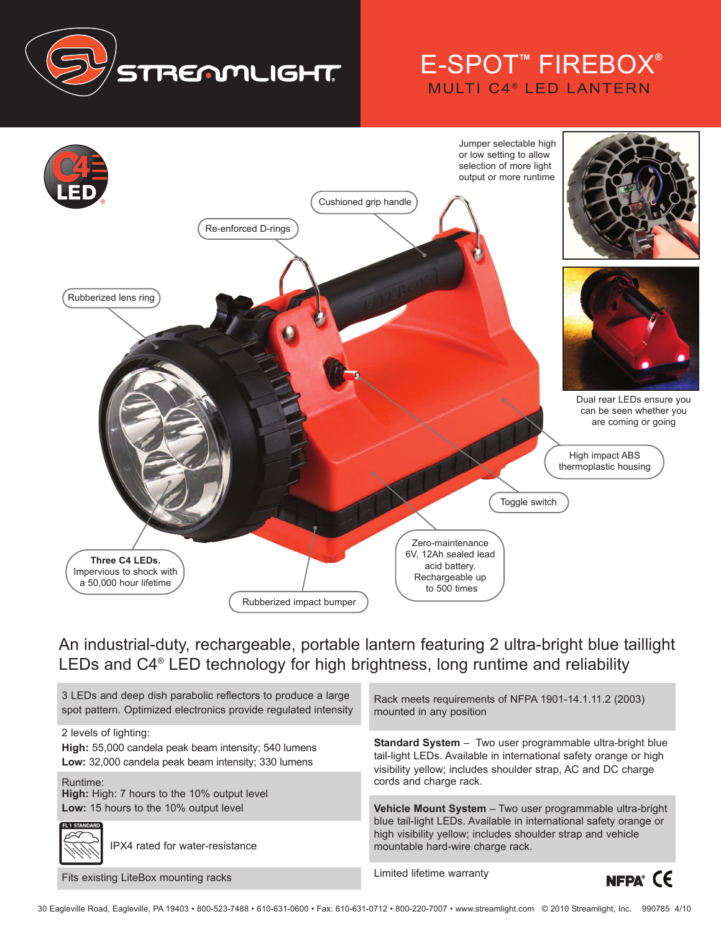

## E-SPOT™ FIREBOX® **MULTI C4<sup>®</sup> LED LANTERN**



An industrial-duty, rechargeable, portable lantern featuring 2 ultra-bright blue taillight LEDs and C4® LED technology for high brightness, long runtime and reliability

3 LEDs and deep dish parabolic reflectors to produce a large spot pattern. Optimized electronics provide regulated intensity

2 levels of lighting:

FL1 STAND

**High:** 55,000 candela peak beam intensity; 540 lumens **Low:** 32,000 candela peak beam intensity; 330 lumens

Runtime: **High:** High: 7 hours to the 10% output level

**Low:** 15 hours to the 10% output level

IPX4 rated for water-resistance

Fits existing LiteBox mounting racks

Rack meets requirements of NFPA 1901-14.1.11.2 (2003) mounted in any position

**Standard System** – Two user programmable ultra-bright blue tail-light LEDs. Available in international safety orange or high visibility yellow; includes shoulder strap, AC and DC charge cords and charge rack.

**Vehicle Mount System** – Two user programmable ultra-bright blue tail-light LEDs. Available in international safety orange or high visibility yellow; includes shoulder strap and vehicle mountable hard-wire charge rack.

Limited lifetime warranty